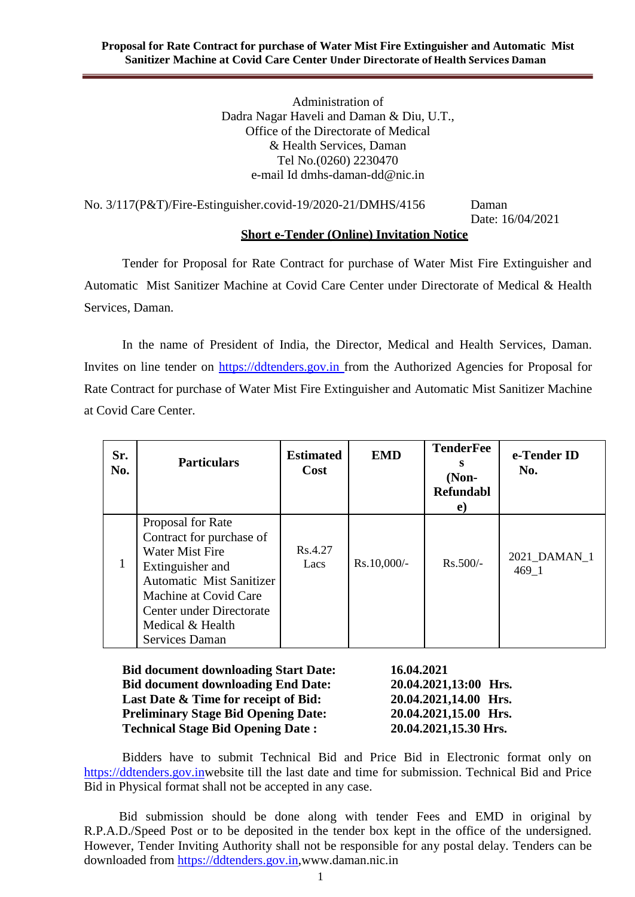Administration of Dadra Nagar Haveli and Daman & Diu, U.T., Office of the Directorate of Medical & Health Services, Daman Tel No.(0260) 2230470 e-mail [Id dmhs-daman-dd@nic.in](mailto:dmhs-daman-dd@nic.in)

No. 3/117(P&T)/Fire-Estinguisher.covid-19/2020-21/DMHS/4156 Daman

Date: 16/04/2021

#### **Short e-Tender (Online) Invitation Notice**

Tender for Proposal for Rate Contract for purchase of Water Mist Fire Extinguisher and Automatic Mist Sanitizer Machine at Covid Care Center under Directorate of Medical & Health Services, Daman.

In the name of President of India, the Director, Medical and Health Services, Daman. Invites on line tender on [https://ddtenders.gov.in](https://www.nprocure.com/) from the Authorized Agencies for Proposal for Rate Contract for purchase of Water Mist Fire Extinguisher and Automatic Mist Sanitizer Machine at Covid Care Center.

| Sr.<br>No. | <b>Particulars</b>                                                                                                                                                                                                        | <b>Estimated</b><br>Cost | <b>EMD</b>  | <b>TenderFee</b><br>s<br>$(Non-$<br><b>Refundabl</b><br>e) | e-Tender ID<br>No.    |
|------------|---------------------------------------------------------------------------------------------------------------------------------------------------------------------------------------------------------------------------|--------------------------|-------------|------------------------------------------------------------|-----------------------|
|            | Proposal for Rate<br>Contract for purchase of<br><b>Water Mist Fire</b><br>Extinguisher and<br><b>Automatic Mist Sanitizer</b><br>Machine at Covid Care<br>Center under Directorate<br>Medical & Health<br>Services Daman | Rs.4.27<br>Lacs          | Rs.10,000/- | $Rs.500/-$                                                 | 2021 DAMAN 1<br>469 1 |

**Bid document downloading Start Date: 16.04.2021 Bid document downloading End Date: 20.04.2021,13:00 Hrs. Last Date & Time for receipt of Bid: 20.04.2021,14.00 Hrs. Preliminary Stage Bid Opening Date: 20.04.2021,15.00 Hrs. Technical Stage Bid Opening Date : 20.04.2021,15.30 Hrs.**

Bidders have to submit Technical Bid and Price Bid in Electronic format only on [https://ddtenders.gov.inw](https://www.nprocure.com/)ebsite till the last date and time for submission. Technical Bid and Price Bid in Physical format shall not be accepted in any case.

Bid submission should be done along with tender Fees and EMD in original by R.P.A.D./Speed Post or to be deposited in the tender box kept in the office of the undersigned. However, Tender Inviting Authority shall not be responsible for any postal delay. Tenders can be downloaded from [https://ddtenders.gov.in,www.daman.nic.in](https://www.nprocure.com/)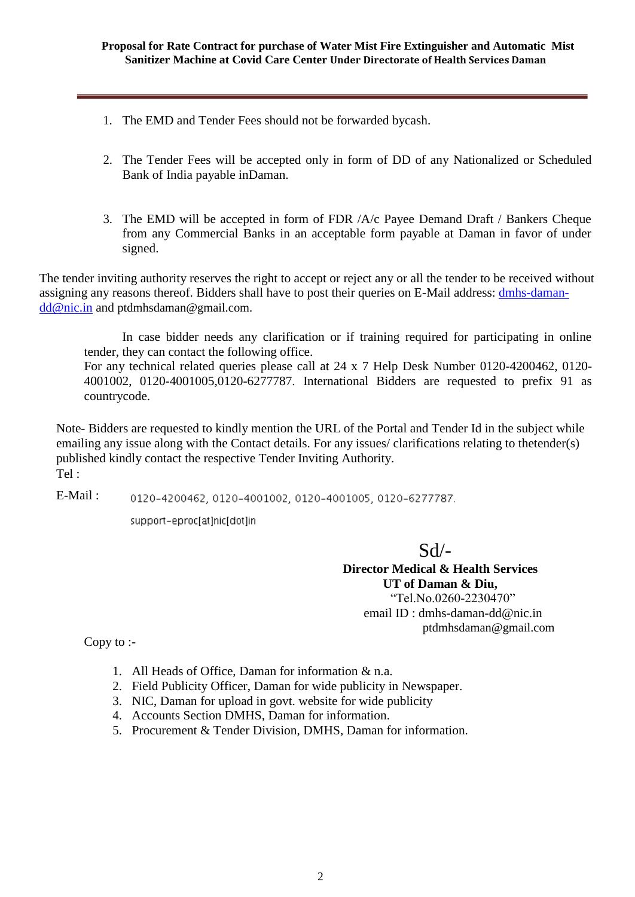- 1. The EMD and Tender Fees should not be forwarded bycash.
- 2. The Tender Fees will be accepted only in form of DD of any Nationalized or Scheduled Bank of India payable inDaman.
- 3. The EMD will be accepted in form of FDR /A/c Payee Demand Draft / Bankers Cheque from any Commercial Banks in an acceptable form payable at Daman in favor of under signed.

The tender inviting authority reserves the right to accept or reject any or all the tender to be received without assigning any reasons thereof. Bidders shall have to post their queries on E-Mail address: [dmhs-daman](mailto:dmhs-daman-dd@nic.in)[dd@nic.in](mailto:dmhs-daman-dd@nic.in) and ptdmhsdaman@gmail.com.

In case bidder needs any clarification or if training required for participating in online tender, they can contact the following office. For any technical related queries please call at 24 x 7 Help Desk Number 0120-4200462, 0120- 4001002, 0120-4001005,0120-6277787. International Bidders are requested to prefix 91 as countrycode.

Note- Bidders are requested to kindly mention the URL of the Portal and Tender Id in the subject while emailing any issue along with the Contact details. For any issues/ clarifications relating to thetender(s) published kindly contact the respective Tender Inviting Authority. Tel :

E-Mail : 0120-4200462, 0120-4001002, 0120-4001005, 0120-6277787.

support-eproc[at]nic[dot]in

Sd/-

**Director Medical & Health Services UT of Daman & Diu,** "Tel.No.0260-2230470" email ID [: dmhs-daman-dd@nic.in](mailto:dmhs-daman-dd@nic.in) ptdmhsdaman@gmail.com

Copy to :-

- 1. All Heads of Office, Daman for information & n.a.
- 2. Field Publicity Officer, Daman for wide publicity in Newspaper.
- 3. NIC, Daman for upload in govt. website for wide publicity
- 4. Accounts Section DMHS, Daman for information.
- 5. Procurement & Tender Division, DMHS, Daman for information.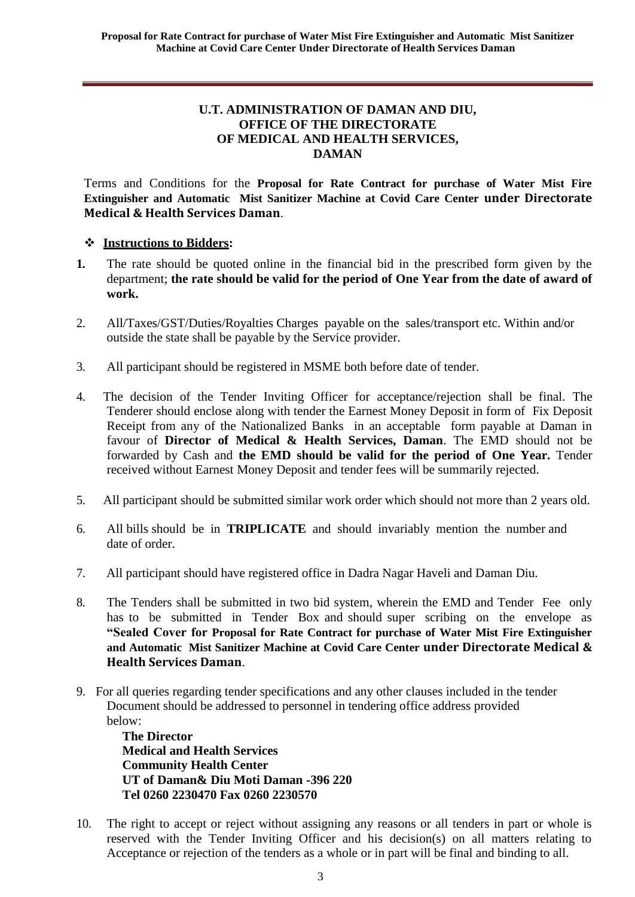#### **U.T. ADMINISTRATION OF DAMAN AND DIU, OFFICE OF THE DIRECTORATE OF MEDICAL AND HEALTH SERVICES, DAMAN**

Terms and Conditions for the **Proposal for Rate Contract for purchase of Water Mist Fire Extinguisher and Automatic Mist Sanitizer Machine at Covid Care Center under Directorate Medical & Health Services Daman**.

#### **Instructions to Bidders:**

- **1.** The rate should be quoted online in the financial bid in the prescribed form given by the department; **the rate should be valid for the period of One Year from the date of award of work.**
- 2. All/Taxes/GST/Duties/Royalties Charges payable on the sales/transport etc. Within and/or outside the state shall be payable by the Service provider.
- 3. All participant should be registered in MSME both before date of tender.
- 4. The decision of the Tender Inviting Officer for acceptance/rejection shall be final. The Tenderer should enclose along with tender the Earnest Money Deposit in form of Fix Deposit Receipt from any of the Nationalized Banks in an acceptable form payable at Daman in favour of **Director of Medical & Health Services, Daman**. The EMD should not be forwarded by Cash and **the EMD should be valid for the period of One Year.** Tender received without Earnest Money Deposit and tender fees will be summarily rejected.
- 5. All participant should be submitted similar work order which should not more than 2 years old.
- 6. All bills should be in **TRIPLICATE** and should invariably mention the number and date of order.
- 7. All participant should have registered office in Dadra Nagar Haveli and Daman Diu.
- 8. The Tenders shall be submitted in two bid system, wherein the EMD and Tender Fee only has to be submitted in Tender Box and should super scribing on the envelope as **"Sealed Cover for Proposal for Rate Contract for purchase of Water Mist Fire Extinguisher and Automatic Mist Sanitizer Machine at Covid Care Center under Directorate Medical & Health Services Daman**.
- 9. For all queries regarding tender specifications and any other clauses included in the tender Document should be addressed to personnel in tendering office address provided below:

**The Director Medical and Health Services Community Health Center UT of Daman& Diu Moti Daman -396 220 Tel 0260 2230470 Fax 0260 2230570**

10. The right to accept or reject without assigning any reasons or all tenders in part or whole is reserved with the Tender Inviting Officer and his decision(s) on all matters relating to Acceptance or rejection of the tenders as a whole or in part will be final and binding to all.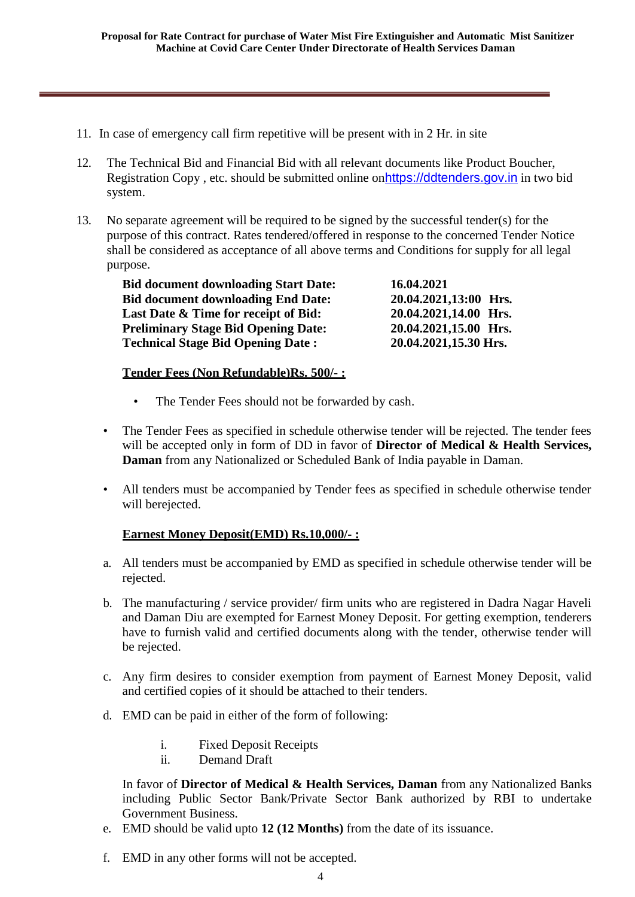- 11. In case of emergency call firm repetitive will be present with in 2 Hr. in site
- 12. The Technical Bid and Financial Bid with all relevant documents like Product Boucher, Registration Copy , etc. should be submitted online on[https://ddtenders.gov.in](http://www.nprocure.com/) in two bid system.
- 13. No separate agreement will be required to be signed by the successful tender(s) for the purpose of this contract. Rates tendered/offered in response to the concerned Tender Notice shall be considered as acceptance of all above terms and Conditions for supply for all legal purpose.

| <b>Bid document downloading Start Date:</b> | 16.04.2021            |
|---------------------------------------------|-----------------------|
| <b>Bid document downloading End Date:</b>   | 20.04.2021,13:00 Hrs. |
| Last Date & Time for receipt of Bid:        | 20.04.2021,14.00 Hrs. |
| <b>Preliminary Stage Bid Opening Date:</b>  | 20.04.2021,15.00 Hrs. |
| <b>Technical Stage Bid Opening Date:</b>    | 20.04.2021,15.30 Hrs. |

#### **Tender Fees (Non Refundable)Rs. 500/- :**

- The Tender Fees should not be forwarded by cash.
- The Tender Fees as specified in schedule otherwise tender will be rejected. The tender fees will be accepted only in form of DD in favor of **Director of Medical & Health Services, Daman** from any Nationalized or Scheduled Bank of India payable in Daman.
- All tenders must be accompanied by Tender fees as specified in schedule otherwise tender will berejected.

#### **Earnest Money Deposit(EMD) Rs.10,000/- :**

- a. All tenders must be accompanied by EMD as specified in schedule otherwise tender will be rejected.
- b. The manufacturing / service provider/ firm units who are registered in Dadra Nagar Haveli and Daman Diu are exempted for Earnest Money Deposit. For getting exemption, tenderers have to furnish valid and certified documents along with the tender, otherwise tender will be rejected.
- c. Any firm desires to consider exemption from payment of Earnest Money Deposit, valid and certified copies of it should be attached to their tenders.
- d. EMD can be paid in either of the form of following:
	- i. Fixed Deposit Receipts
	- ii. Demand Draft

In favor of **Director of Medical & Health Services, Daman** from any Nationalized Banks including Public Sector Bank/Private Sector Bank authorized by RBI to undertake Government Business.

- e. EMD should be valid upto **12 (12 Months)** from the date of its issuance.
- f. EMD in any other forms will not be accepted.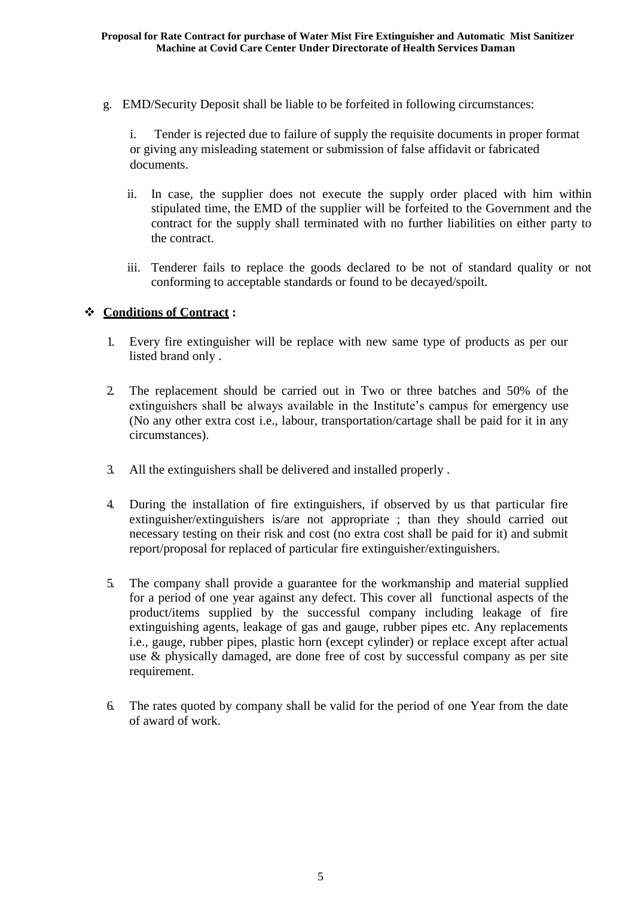g. EMD/Security Deposit shall be liable to be forfeited in following circumstances:

i. Tender is rejected due to failure of supply the requisite documents in proper format or giving any misleading statement or submission of false affidavit or fabricated documents.

- ii. In case, the supplier does not execute the supply order placed with him within stipulated time, the EMD of the supplier will be forfeited to the Government and the contract for the supply shall terminated with no further liabilities on either party to the contract.
- iii. Tenderer fails to replace the goods declared to be not of standard quality or not conforming to acceptable standards or found to be decayed/spoilt.

#### **Conditions of Contract :**

- 1. Every fire extinguisher will be replace with new same type of products as per our listed brand only .
- 2. The replacement should be carried out in Two or three batches and 50% of the extinguishers shall be always available in the Institute's campus for emergency use (No any other extra cost i.e., labour, transportation/cartage shall be paid for it in any circumstances).
- 3. All the extinguishers shall be delivered and installed properly .
- 4. During the installation of fire extinguishers, if observed by us that particular fire extinguisher/extinguishers is/are not appropriate ; than they should carried out necessary testing on their risk and cost (no extra cost shall be paid for it) and submit report/proposal for replaced of particular fire extinguisher/extinguishers.
- 5. The company shall provide a guarantee for the workmanship and material supplied for a period of one year against any defect. This cover all functional aspects of the product/items supplied by the successful company including leakage of fire extinguishing agents, leakage of gas and gauge, rubber pipes etc. Any replacements i.e., gauge, rubber pipes, plastic horn (except cylinder) or replace except after actual use & physically damaged, are done free of cost by successful company as per site requirement.
- 6. The rates quoted by company shall be valid for the period of one Year from the date of award of work.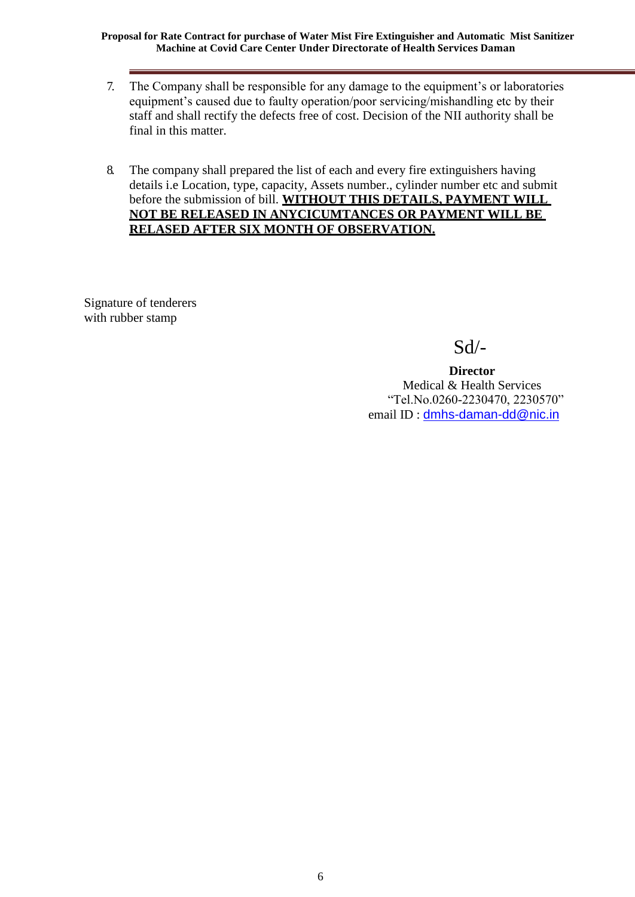**Proposal for Rate Contract for purchase of Water Mist Fire Extinguisher and Automatic Mist Sanitizer Machine at Covid Care Center Under Directorate of Health Services Daman**

- 7. The Company shall be responsible for any damage to the equipment's or laboratories equipment's caused due to faulty operation/poor servicing/mishandling etc by their staff and shall rectify the defects free of cost. Decision of the NII authority shall be final in this matter.
- 8. The company shall prepared the list of each and every fire extinguishers having details i.e Location, type, capacity, Assets number., cylinder number etc and submit before the submission of bill. **WITHOUT THIS DETAILS, PAYMENT WILL NOT BE RELEASED IN ANYCICUMTANCES OR PAYMENT WILL BE RELASED AFTER SIX MONTH OF OBSERVATION.**

Signature of tenderers with rubber stamp

Sd/-

**Director** Medical & Health Services "Tel.No.0260-2230470, 2230570" email ID : [dmhs-daman-dd@nic.in](mailto:dmhs-daman-dd@nic.in)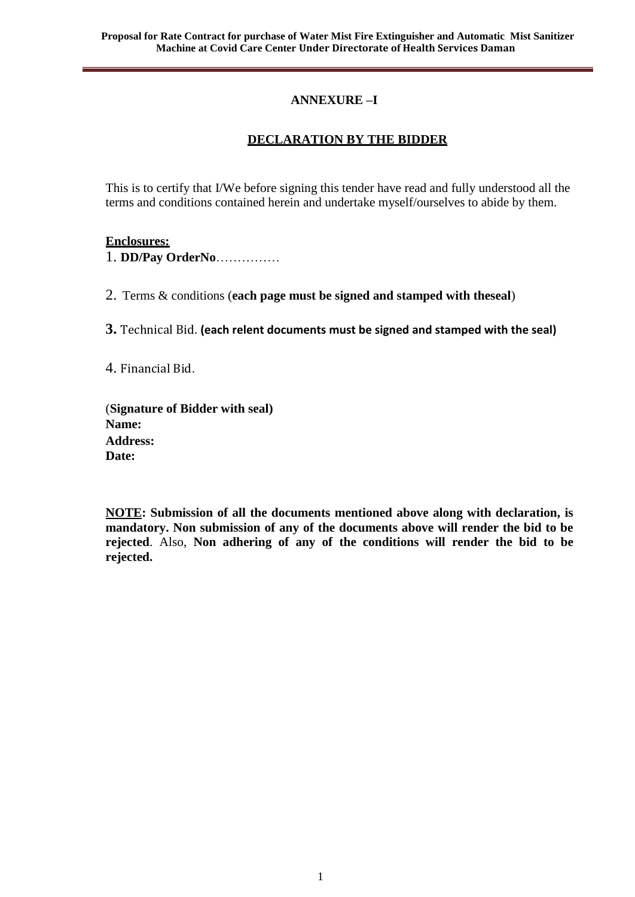#### **ANNEXURE –I**

## **DECLARATION BY THE BIDDER**

This is to certify that I/We before signing this tender have read and fully understood all the terms and conditions contained herein and undertake myself/ourselves to abide by them.

#### **Enclosures:**

1. **DD/Pay OrderNo**……………

2. Terms & conditions (**each page must be signed and stamped with theseal**)

**3.** Technical Bid. **(each relent documents must be signed and stamped with the seal)**

4. Financial Bid.

(**Signature of Bidder with seal) Name: Address: Date:**

**NOTE: Submission of all the documents mentioned above along with declaration, is mandatory. Non submission of any of the documents above will render the bid to be rejected**. Also, **Non adhering of any of the conditions will render the bid to be rejected.**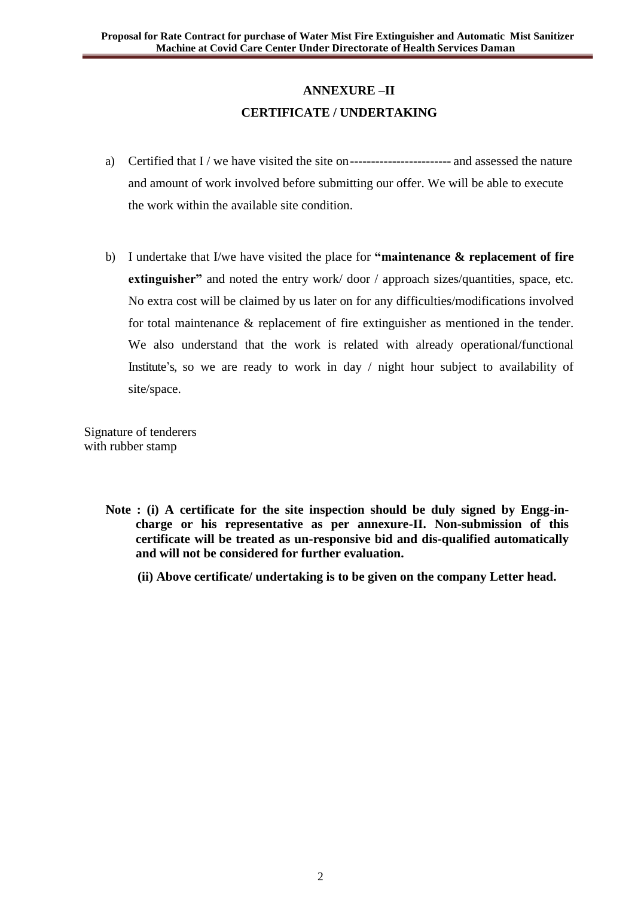## **ANNEXURE –II CERTIFICATE / UNDERTAKING**

- a) Certified that  $I /$  we have visited the site on------------------------------- and assessed the nature and amount of work involved before submitting our offer. We will be able to execute the work within the available site condition.
- b) I undertake that I/we have visited the place for **"maintenance & replacement of fire extinguisher"** and noted the entry work/door / approach sizes/quantities, space, etc. No extra cost will be claimed by us later on for any difficulties/modifications involved for total maintenance & replacement of fire extinguisher as mentioned in the tender. We also understand that the work is related with already operational/functional Institute's, so we are ready to work in day / night hour subject to availability of site/space.

Signature of tenderers with rubber stamp

**ANNEXURE**

- **Note : (i) A certificate for the site inspection should be duly signed by Engg-incharge or his representative as per annexure-II. Non-submission of this certificate will be treated as un-responsive bid and dis-qualified automatically and will not be considered for further evaluation.**
	- **(ii) Above certificate/ undertaking is to be given on the company Letter head.**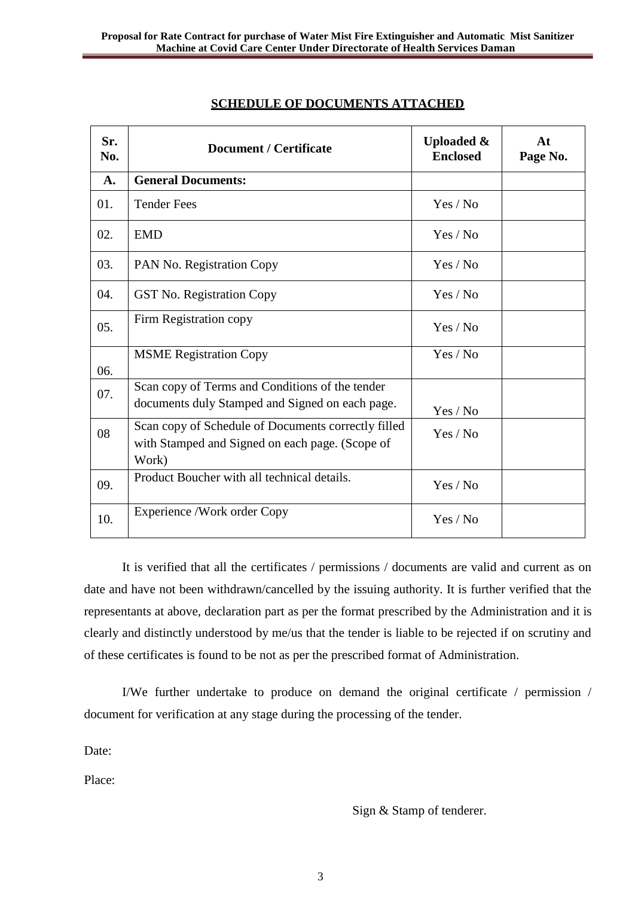| Sr.<br>No. | <b>Document / Certificate</b>                                                                                   | <b>Uploaded &amp;</b><br><b>Enclosed</b> | At<br>Page No. |
|------------|-----------------------------------------------------------------------------------------------------------------|------------------------------------------|----------------|
| A.         | <b>General Documents:</b>                                                                                       |                                          |                |
| 01.        | <b>Tender Fees</b>                                                                                              | Yes / No                                 |                |
| 02.        | <b>EMD</b>                                                                                                      | Yes / No                                 |                |
| 03.        | PAN No. Registration Copy                                                                                       | Yes / No                                 |                |
| 04.        | <b>GST No. Registration Copy</b>                                                                                | Yes / No                                 |                |
| 05.        | Firm Registration copy                                                                                          | Yes / No                                 |                |
| 06.        | <b>MSME Registration Copy</b>                                                                                   | Yes / No                                 |                |
| 07.        | Scan copy of Terms and Conditions of the tender<br>documents duly Stamped and Signed on each page.              | Yes / No                                 |                |
| 08         | Scan copy of Schedule of Documents correctly filled<br>with Stamped and Signed on each page. (Scope of<br>Work) | Yes / No                                 |                |
| 09.        | Product Boucher with all technical details.                                                                     | Yes / No                                 |                |
| 10.        | Experience /Work order Copy                                                                                     | Yes / No                                 |                |

#### **SCHEDULE OF DOCUMENTS ATTACHED**

It is verified that all the certificates / permissions / documents are valid and current as on date and have not been withdrawn/cancelled by the issuing authority. It is further verified that the representants at above, declaration part as per the format prescribed by the Administration and it is clearly and distinctly understood by me/us that the tender is liable to be rejected if on scrutiny and of these certificates is found to be not as per the prescribed format of Administration.

I/We further undertake to produce on demand the original certificate / permission / document for verification at any stage during the processing of the tender.

Date:

**ANNEXURE**

Place:

Sign & Stamp of tenderer.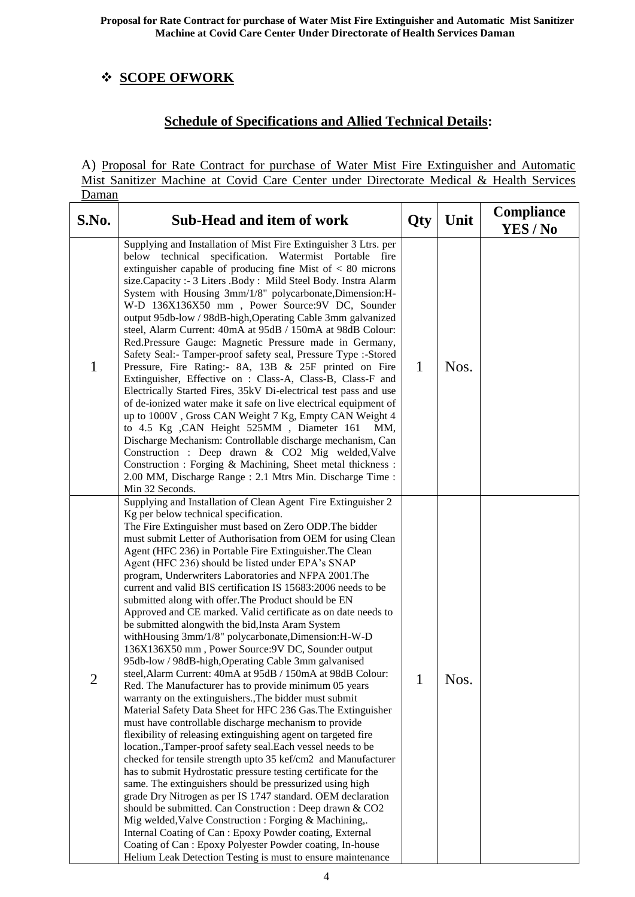# **SCOPE OFWORK**

## **Schedule of Specifications and Allied Technical Details:**

A) Proposal for Rate Contract for purchase of Water Mist Fire Extinguisher and Automatic Mist Sanitizer Machine at Covid Care Center under Directorate Medical & Health Services Daman

| S.No. | <b>Sub-Head and item of work</b>                                                                                                                                                                                                                                                                                                                                                                                                                                                                                                                                                                                                                                                                                                                                                                                                                                                                                                                                                                                                                                                                                                                                                                                                                                                                                                                                                                                                                                                                                                                                                                                                                                                                                                                                                                                                                   | Qty | Unit | <b>Compliance</b><br>YES / No |
|-------|----------------------------------------------------------------------------------------------------------------------------------------------------------------------------------------------------------------------------------------------------------------------------------------------------------------------------------------------------------------------------------------------------------------------------------------------------------------------------------------------------------------------------------------------------------------------------------------------------------------------------------------------------------------------------------------------------------------------------------------------------------------------------------------------------------------------------------------------------------------------------------------------------------------------------------------------------------------------------------------------------------------------------------------------------------------------------------------------------------------------------------------------------------------------------------------------------------------------------------------------------------------------------------------------------------------------------------------------------------------------------------------------------------------------------------------------------------------------------------------------------------------------------------------------------------------------------------------------------------------------------------------------------------------------------------------------------------------------------------------------------------------------------------------------------------------------------------------------------|-----|------|-------------------------------|
| 1     | Supplying and Installation of Mist Fire Extinguisher 3 Ltrs. per<br>below<br>technical specification. Watermist Portable fire<br>extinguisher capable of producing fine Mist of $< 80$ microns<br>size.Capacity :- 3 Liters .Body : Mild Steel Body. Instra Alarm<br>System with Housing 3mm/1/8" polycarbonate, Dimension: H-<br>W-D 136X136X50 mm, Power Source: 9V DC, Sounder<br>output 95db-low / 98dB-high, Operating Cable 3mm galvanized<br>steel, Alarm Current: 40mA at 95dB / 150mA at 98dB Colour:<br>Red.Pressure Gauge: Magnetic Pressure made in Germany,<br>Safety Seal:- Tamper-proof safety seal, Pressure Type :- Stored<br>Pressure, Fire Rating:- 8A, 13B & 25F printed on Fire<br>Extinguisher, Effective on : Class-A, Class-B, Class-F and<br>Electrically Started Fires, 35kV Di-electrical test pass and use<br>of de-ionized water make it safe on live electrical equipment of<br>up to 1000V, Gross CAN Weight 7 Kg, Empty CAN Weight 4<br>to 4.5 Kg , CAN Height 525MM, Diameter 161<br>MM,<br>Discharge Mechanism: Controllable discharge mechanism, Can<br>Construction : Deep drawn & CO2 Mig welded, Valve<br>Construction : Forging & Machining, Sheet metal thickness :<br>2.00 MM, Discharge Range: 2.1 Mtrs Min. Discharge Time:<br>Min 32 Seconds.                                                                                                                                                                                                                                                                                                                                                                                                                                                                                                                                                          | 1   | Nos. |                               |
| っ     | Supplying and Installation of Clean Agent Fire Extinguisher 2<br>Kg per below technical specification.<br>The Fire Extinguisher must based on Zero ODP. The bidder<br>must submit Letter of Authorisation from OEM for using Clean<br>Agent (HFC 236) in Portable Fire Extinguisher. The Clean<br>Agent (HFC 236) should be listed under EPA's SNAP<br>program, Underwriters Laboratories and NFPA 2001. The<br>current and valid BIS certification IS 15683:2006 needs to be<br>submitted along with offer. The Product should be EN<br>Approved and CE marked. Valid certificate as on date needs to<br>be submitted alongwith the bid, Insta Aram System<br>withHousing 3mm/1/8" polycarbonate,Dimension:H-W-D<br>136X136X50 mm, Power Source: 9V DC, Sounder output<br>95db-low / 98dB-high, Operating Cable 3mm galvanised<br>steel, Alarm Current: 40mA at 95dB / 150mA at 98dB Colour:<br>Red. The Manufacturer has to provide minimum 05 years<br>warranty on the extinguishers., The bidder must submit<br>Material Safety Data Sheet for HFC 236 Gas. The Extinguisher<br>must have controllable discharge mechanism to provide<br>flexibility of releasing extinguishing agent on targeted fire<br>location.,Tamper-proof safety seal.Each vessel needs to be<br>checked for tensile strength upto 35 kef/cm2 and Manufacturer<br>has to submit Hydrostatic pressure testing certificate for the<br>same. The extinguishers should be pressurized using high<br>grade Dry Nitrogen as per IS 1747 standard. OEM declaration<br>should be submitted. Can Construction : Deep drawn & CO2<br>Mig welded, Valve Construction : Forging & Machining,.<br>Internal Coating of Can: Epoxy Powder coating, External<br>Coating of Can: Epoxy Polyester Powder coating, In-house<br>Helium Leak Detection Testing is must to ensure maintenance | 1   | Nos. |                               |